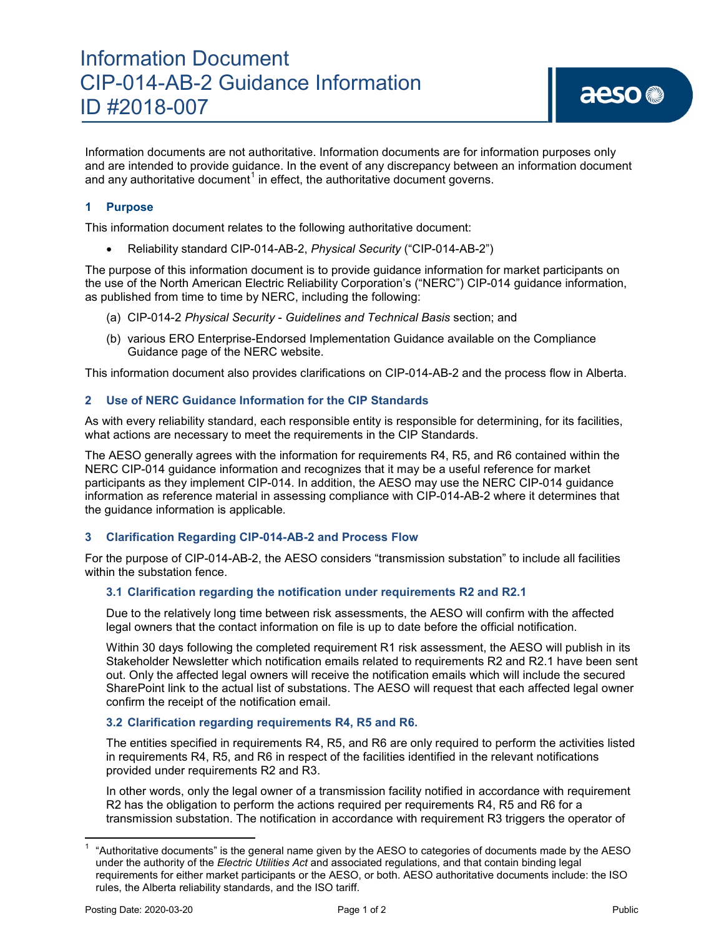Information documents are not authoritative. Information documents are for information purposes only and are intended to provide guidance. In the event of any discrepancy between an information document and any authoritative document<sup>[1](#page-0-0)</sup> in effect, the authoritative document governs.

## **1 Purpose**

This information document relates to the following authoritative document:

• Reliability standard CIP-014-AB-2, *Physical Security* ("CIP-014-AB-2")

The purpose of this information document is to provide guidance information for market participants on the use of the North American Electric Reliability Corporation's ("NERC") CIP-014 guidance information, as published from time to time by NERC, including the following:

- (a) CIP-014-2 *Physical Security Guidelines and Technical Basis* section; and
- (b) various ERO Enterprise-Endorsed Implementation Guidance available on the Compliance Guidance page of the NERC website.

This information document also provides clarifications on CIP-014-AB-2 and the process flow in Alberta.

### **2 Use of NERC Guidance Information for the CIP Standards**

As with every reliability standard, each responsible entity is responsible for determining, for its facilities, what actions are necessary to meet the requirements in the CIP Standards.

The AESO generally agrees with the information for requirements R4, R5, and R6 contained within the NERC CIP-014 guidance information and recognizes that it may be a useful reference for market participants as they implement CIP-014. In addition, the AESO may use the NERC CIP-014 guidance information as reference material in assessing compliance with CIP-014-AB-2 where it determines that the guidance information is applicable.

#### **3 Clarification Regarding CIP-014-AB-2 and Process Flow**

For the purpose of CIP-014-AB-2, the AESO considers "transmission substation" to include all facilities within the substation fence.

#### **3.1 Clarification regarding the notification under requirements R2 and R2.1**

Due to the relatively long time between risk assessments, the AESO will confirm with the affected legal owners that the contact information on file is up to date before the official notification.

Within 30 days following the completed requirement R1 risk assessment, the AESO will publish in its Stakeholder Newsletter which notification emails related to requirements R2 and R2.1 have been sent out. Only the affected legal owners will receive the notification emails which will include the secured SharePoint link to the actual list of substations. The AESO will request that each affected legal owner confirm the receipt of the notification email.

#### **3.2 Clarification regarding requirements R4, R5 and R6.**

The entities specified in requirements R4, R5, and R6 are only required to perform the activities listed in requirements R4, R5, and R6 in respect of the facilities identified in the relevant notifications provided under requirements R2 and R3.

In other words, only the legal owner of a transmission facility notified in accordance with requirement R2 has the obligation to perform the actions required per requirements R4, R5 and R6 for a transmission substation. The notification in accordance with requirement R3 triggers the operator of

<span id="page-0-0"></span><sup>1</sup> "Authoritative documents" is the general name given by the AESO to categories of documents made by the AESO under the authority of the *Electric Utilities Act* and associated regulations, and that contain binding legal requirements for either market participants or the AESO, or both. AESO authoritative documents include: the ISO rules, the Alberta reliability standards, and the ISO tariff.